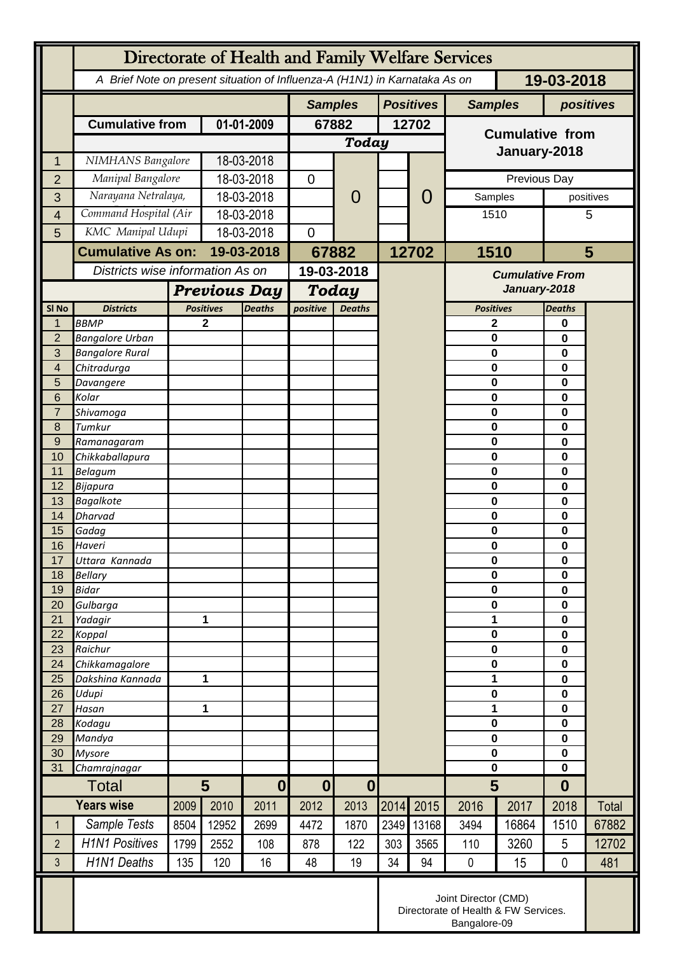|                  | Directorate of Health and Family Welfare Services                                        |                                  |                  |               |                                      |                |                  |                        |                            |              |                  |       |
|------------------|------------------------------------------------------------------------------------------|----------------------------------|------------------|---------------|--------------------------------------|----------------|------------------|------------------------|----------------------------|--------------|------------------|-------|
|                  | 19-03-2018<br>A Brief Note on present situation of Influenza-A (H1N1) in Karnataka As on |                                  |                  |               |                                      |                |                  |                        |                            |              |                  |       |
|                  |                                                                                          |                                  |                  |               | <b>Samples</b>                       |                | <b>Positives</b> |                        | <b>Samples</b>             |              | positives        |       |
|                  | <b>Cumulative from</b>                                                                   |                                  | 01-01-2009       |               | 67882                                |                | 12702            |                        |                            |              |                  |       |
|                  |                                                                                          |                                  |                  | <b>Today</b>  |                                      |                |                  | <b>Cumulative from</b> |                            |              |                  |       |
| 1                | NIMHANS Bangalore                                                                        |                                  | 18-03-2018       |               |                                      |                |                  |                        | January-2018               |              |                  |       |
| $\overline{2}$   | Manipal Bangalore                                                                        |                                  | 18-03-2018       |               | $\overline{0}$                       | $\overline{0}$ |                  |                        |                            | Previous Day |                  |       |
| 3                |                                                                                          | Narayana Netralaya,              |                  | 18-03-2018    |                                      |                |                  | $\overline{0}$         | Samples                    |              | positives        |       |
| $\overline{4}$   | Command Hospital (Air                                                                    |                                  | 18-03-2018       |               |                                      |                |                  |                        | 1510                       |              |                  | 5     |
| 5                | KMC Manipal Udupi                                                                        |                                  | 18-03-2018       |               | $\mathbf 0$                          |                |                  |                        |                            |              |                  |       |
|                  | <b>Cumulative As on:</b>                                                                 |                                  | 19-03-2018       |               | 67882                                |                | 12702            |                        | 1510                       |              | 5                |       |
|                  |                                                                                          | Districts wise information As on |                  | 19-03-2018    |                                      |                |                  | <b>Cumulative From</b> |                            |              |                  |       |
|                  |                                                                                          | <b>Previous Day</b>              |                  |               | <b>Today</b>                         |                |                  |                        | January-2018               |              |                  |       |
| SI <sub>No</sub> | <b>Districts</b>                                                                         |                                  | <b>Positives</b> | <b>Deaths</b> | <b>Deaths</b><br>positive            |                |                  |                        | <b>Positives</b>           |              | <b>Deaths</b>    |       |
| 1                | <b>BBMP</b>                                                                              |                                  | 2                |               |                                      |                |                  |                        | 2                          |              | 0                |       |
| $\overline{2}$   | <b>Bangalore Urban</b>                                                                   |                                  |                  |               |                                      |                |                  |                        | 0                          |              | 0                |       |
| 3                | <b>Bangalore Rural</b>                                                                   |                                  |                  |               |                                      |                |                  |                        | 0                          |              | 0                |       |
| 4                | Chitradurga                                                                              |                                  |                  |               |                                      |                |                  |                        | 0<br>0                     |              | $\bf{0}$         |       |
| 5<br>6           | Davangere<br>Kolar                                                                       |                                  |                  |               |                                      |                |                  |                        | 0                          |              | 0<br>0           |       |
| $\overline{7}$   | Shivamoga                                                                                |                                  |                  |               |                                      |                |                  |                        | 0                          |              | 0                |       |
| 8                | Tumkur                                                                                   |                                  |                  |               |                                      |                |                  |                        | 0                          |              | 0                |       |
| 9                | Ramanagaram                                                                              |                                  |                  |               |                                      |                |                  |                        | 0                          |              | 0                |       |
| 10               | Chikkaballapura                                                                          |                                  |                  |               |                                      |                |                  |                        | 0                          |              | 0                |       |
| 11<br>12         | <b>Belagum</b><br>Bijapura                                                               |                                  |                  |               |                                      |                |                  |                        | 0<br>0                     |              | 0<br>0           |       |
| 13               | <b>Bagalkote</b>                                                                         |                                  |                  |               |                                      |                |                  |                        | 0                          |              | 0                |       |
| 14               | Dharvad                                                                                  |                                  |                  |               |                                      |                |                  |                        | $\mathbf 0$                |              | $\mathbf 0$      |       |
| 15               | Gadag                                                                                    |                                  |                  |               |                                      |                |                  |                        | 0                          |              | 0<br>0           |       |
| 16               | Haveri                                                                                   |                                  |                  |               |                                      |                |                  |                        |                            | 0            |                  |       |
| 17<br>18         | Uttara Kannada<br><b>Bellary</b>                                                         |                                  |                  |               |                                      |                |                  |                        | 0<br>$\mathbf 0$           |              | 0<br>0           |       |
| 19               | <b>Bidar</b>                                                                             |                                  |                  |               |                                      |                |                  |                        | 0                          |              | $\mathbf 0$      |       |
| 20               | Gulbarga                                                                                 |                                  |                  |               |                                      |                |                  |                        | 0                          |              | 0                |       |
| 21               | Yadagir                                                                                  |                                  | 1                |               |                                      |                |                  |                        | 1                          |              | 0                |       |
| 22               | Koppal                                                                                   |                                  |                  |               |                                      |                |                  |                        | $\mathbf 0$                |              | 0                |       |
| 23<br>24         | Raichur<br>Chikkamagalore                                                                |                                  |                  |               |                                      |                |                  |                        | 0<br>0                     |              | 0<br>0           |       |
| 25               | Dakshina Kannada                                                                         | 1                                |                  |               |                                      |                |                  |                        | 1                          |              | $\mathbf 0$      |       |
| 26               | Udupi                                                                                    |                                  |                  |               |                                      |                |                  |                        | 0                          |              | 0                |       |
| 27               | Hasan                                                                                    | 1                                |                  |               |                                      |                |                  |                        | 1                          |              | 0                |       |
| 28               | Kodagu                                                                                   |                                  |                  |               |                                      |                |                  |                        | $\mathbf 0$<br>$\mathbf 0$ |              | 0                |       |
| 29<br>30         | Mandya<br><b>Mysore</b>                                                                  |                                  |                  |               |                                      |                |                  |                        | 0                          |              | 0<br>$\mathbf 0$ |       |
| 31               | Chamrajnagar                                                                             |                                  |                  |               |                                      |                |                  |                        | $\mathbf 0$                |              | 0                |       |
| <b>Total</b>     |                                                                                          | $5\phantom{1}$                   |                  | $\bf{0}$      | $\boldsymbol{0}$<br>$\boldsymbol{0}$ |                |                  |                        | 5                          |              | $\boldsymbol{0}$ |       |
|                  | <b>Years wise</b>                                                                        | 2009                             | 2010             | 2011          | 2012                                 | 2013           | 2014             | 2015                   | 2016                       | 2017         | 2018             | Total |
| $\mathbf 1$      | Sample Tests                                                                             | 8504                             | 12952            | 2699          | 4472                                 | 1870           | 2349             | 13168                  | 3494                       | 16864        | 1510             | 67882 |
| $\overline{2}$   | <b>H1N1 Positives</b>                                                                    | 1799                             | 2552             | 108           | 878                                  | 122            | 303              | 3565                   | 110                        | 3260         | 5                | 12702 |
| 3                | <b>H1N1 Deaths</b>                                                                       | 135                              | 120              | 16            | 48                                   | 19             | 34               | 94                     | $\pmb{0}$                  | 15           | $\mathbf 0$      | 481   |
|                  | Joint Director (CMD)<br>Directorate of Health & FW Services.<br>Bangalore-09             |                                  |                  |               |                                      |                |                  |                        |                            |              |                  |       |